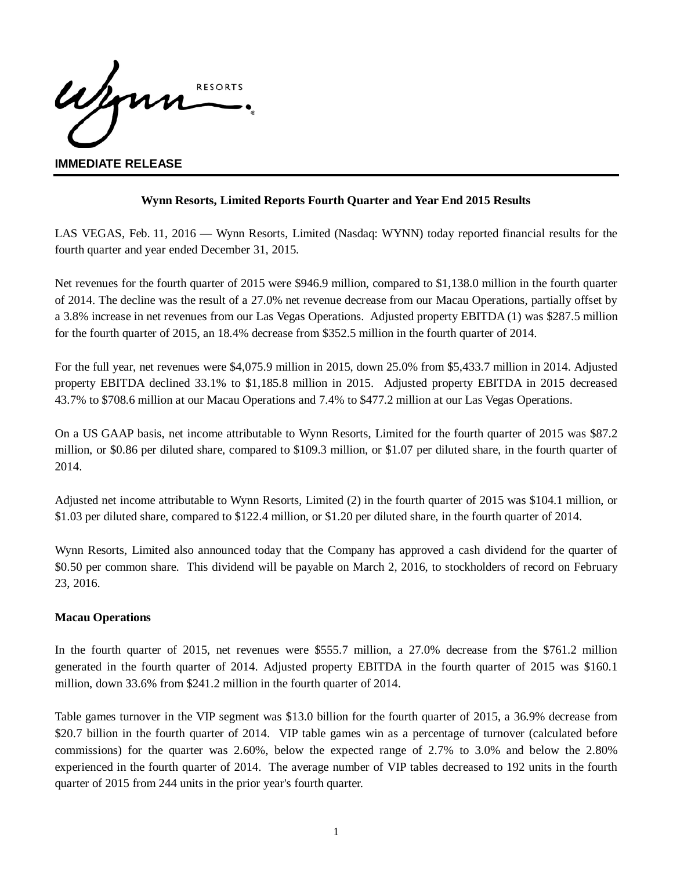Wynn **RESORTS** 

### **IMMEDIATE RELEASE**

#### **Wynn Resorts, Limited Reports Fourth Quarter and Year End 2015 Results**

LAS VEGAS, Feb. 11, 2016 — Wynn Resorts, Limited (Nasdaq: WYNN) today reported financial results for the fourth quarter and year ended December 31, 2015.

Net revenues for the fourth quarter of 2015 were \$946.9 million, compared to \$1,138.0 million in the fourth quarter of 2014. The decline was the result of a 27.0% net revenue decrease from our Macau Operations, partially offset by a 3.8% increase in net revenues from our Las Vegas Operations. Adjusted property EBITDA (1) was \$287.5 million for the fourth quarter of 2015, an 18.4% decrease from \$352.5 million in the fourth quarter of 2014.

For the full year, net revenues were \$4,075.9 million in 2015, down 25.0% from \$5,433.7 million in 2014. Adjusted property EBITDA declined 33.1% to \$1,185.8 million in 2015. Adjusted property EBITDA in 2015 decreased 43.7% to \$708.6 million at our Macau Operations and 7.4% to \$477.2 million at our Las Vegas Operations.

On a US GAAP basis, net income attributable to Wynn Resorts, Limited for the fourth quarter of 2015 was \$87.2 million, or \$0.86 per diluted share, compared to \$109.3 million, or \$1.07 per diluted share, in the fourth quarter of 2014.

Adjusted net income attributable to Wynn Resorts, Limited (2) in the fourth quarter of 2015 was \$104.1 million, or \$1.03 per diluted share, compared to \$122.4 million, or \$1.20 per diluted share, in the fourth quarter of 2014.

Wynn Resorts, Limited also announced today that the Company has approved a cash dividend for the quarter of \$0.50 per common share. This dividend will be payable on March 2, 2016, to stockholders of record on February 23, 2016.

#### **Macau Operations**

In the fourth quarter of 2015, net revenues were \$555.7 million, a 27.0% decrease from the \$761.2 million generated in the fourth quarter of 2014. Adjusted property EBITDA in the fourth quarter of 2015 was \$160.1 million, down 33.6% from \$241.2 million in the fourth quarter of 2014.

Table games turnover in the VIP segment was \$13.0 billion for the fourth quarter of 2015, a 36.9% decrease from \$20.7 billion in the fourth quarter of 2014. VIP table games win as a percentage of turnover (calculated before commissions) for the quarter was 2.60%, below the expected range of 2.7% to 3.0% and below the 2.80% experienced in the fourth quarter of 2014. The average number of VIP tables decreased to 192 units in the fourth quarter of 2015 from 244 units in the prior year's fourth quarter.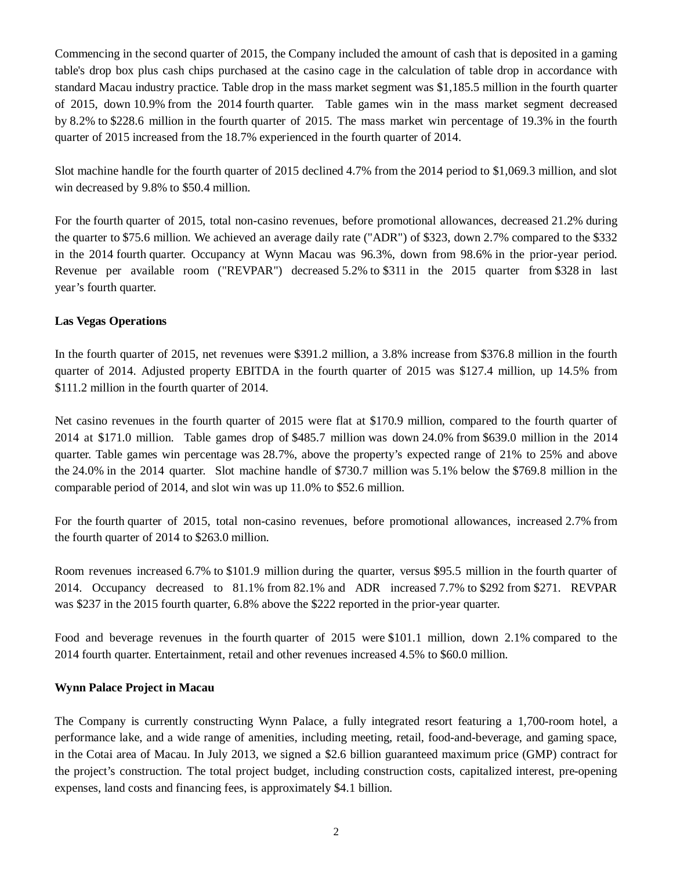Commencing in the second quarter of 2015, the Company included the amount of cash that is deposited in a gaming table's drop box plus cash chips purchased at the casino cage in the calculation of table drop in accordance with standard Macau industry practice. Table drop in the mass market segment was \$1,185.5 million in the fourth quarter of 2015, down 10.9% from the 2014 fourth quarter. Table games win in the mass market segment decreased by 8.2% to \$228.6 million in the fourth quarter of 2015. The mass market win percentage of 19.3% in the fourth quarter of 2015 increased from the 18.7% experienced in the fourth quarter of 2014.

Slot machine handle for the fourth quarter of 2015 declined 4.7% from the 2014 period to \$1,069.3 million, and slot win decreased by 9.8% to \$50.4 million.

For the fourth quarter of 2015, total non-casino revenues, before promotional allowances, decreased 21.2% during the quarter to \$75.6 million. We achieved an average daily rate ("ADR") of \$323, down 2.7% compared to the \$332 in the 2014 fourth quarter. Occupancy at Wynn Macau was 96.3%, down from 98.6% in the prior-year period. Revenue per available room ("REVPAR") decreased 5.2% to \$311 in the 2015 quarter from \$328 in last year's fourth quarter.

#### **Las Vegas Operations**

In the fourth quarter of 2015, net revenues were \$391.2 million, a 3.8% increase from \$376.8 million in the fourth quarter of 2014. Adjusted property EBITDA in the fourth quarter of 2015 was \$127.4 million, up 14.5% from \$111.2 million in the fourth quarter of 2014.

Net casino revenues in the fourth quarter of 2015 were flat at \$170.9 million, compared to the fourth quarter of 2014 at \$171.0 million. Table games drop of \$485.7 million was down 24.0% from \$639.0 million in the 2014 quarter. Table games win percentage was 28.7%, above the property's expected range of 21% to 25% and above the 24.0% in the 2014 quarter. Slot machine handle of \$730.7 million was 5.1% below the \$769.8 million in the comparable period of 2014, and slot win was up 11.0% to \$52.6 million.

For the fourth quarter of 2015, total non-casino revenues, before promotional allowances, increased 2.7% from the fourth quarter of 2014 to \$263.0 million.

Room revenues increased 6.7% to \$101.9 million during the quarter, versus \$95.5 million in the fourth quarter of 2014. Occupancy decreased to 81.1% from 82.1% and ADR increased 7.7% to \$292 from \$271. REVPAR was \$237 in the 2015 fourth quarter, 6.8% above the \$222 reported in the prior-year quarter.

Food and beverage revenues in the fourth quarter of 2015 were \$101.1 million, down 2.1% compared to the 2014 fourth quarter. Entertainment, retail and other revenues increased 4.5% to \$60.0 million.

### **Wynn Palace Project in Macau**

The Company is currently constructing Wynn Palace, a fully integrated resort featuring a 1,700-room hotel, a performance lake, and a wide range of amenities, including meeting, retail, food-and-beverage, and gaming space, in the Cotai area of Macau. In July 2013, we signed a \$2.6 billion guaranteed maximum price (GMP) contract for the project's construction. The total project budget, including construction costs, capitalized interest, pre-opening expenses, land costs and financing fees, is approximately \$4.1 billion.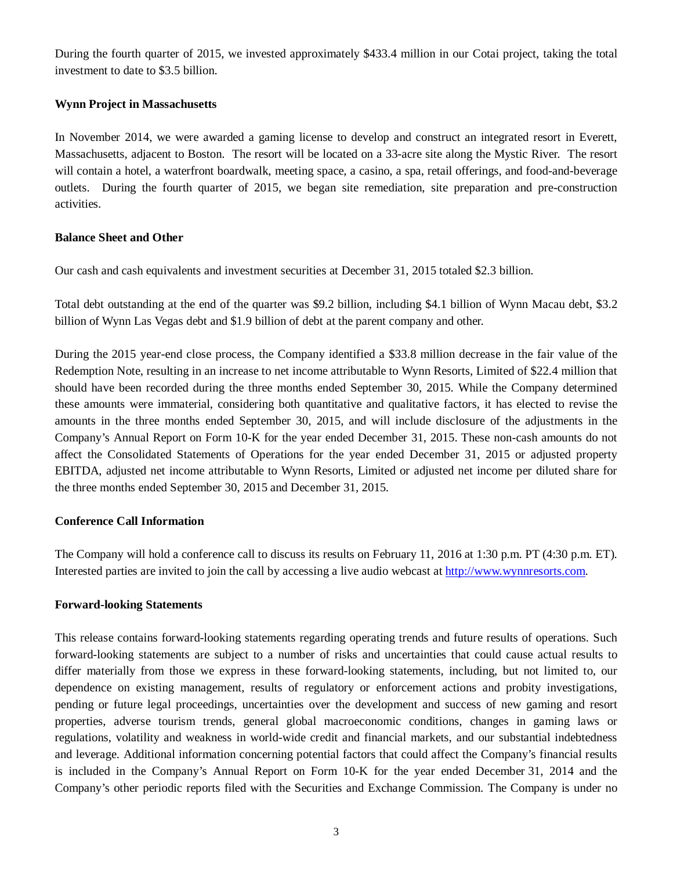During the fourth quarter of 2015, we invested approximately \$433.4 million in our Cotai project, taking the total investment to date to \$3.5 billion.

### **Wynn Project in Massachusetts**

In November 2014, we were awarded a gaming license to develop and construct an integrated resort in Everett, Massachusetts, adjacent to Boston. The resort will be located on a 33-acre site along the Mystic River. The resort will contain a hotel, a waterfront boardwalk, meeting space, a casino, a spa, retail offerings, and food-and-beverage outlets. During the fourth quarter of 2015, we began site remediation, site preparation and pre-construction activities.

## **Balance Sheet and Other**

Our cash and cash equivalents and investment securities at December 31, 2015 totaled \$2.3 billion.

Total debt outstanding at the end of the quarter was \$9.2 billion, including \$4.1 billion of Wynn Macau debt, \$3.2 billion of Wynn Las Vegas debt and \$1.9 billion of debt at the parent company and other.

During the 2015 year-end close process, the Company identified a \$33.8 million decrease in the fair value of the Redemption Note, resulting in an increase to net income attributable to Wynn Resorts, Limited of \$22.4 million that should have been recorded during the three months ended September 30, 2015. While the Company determined these amounts were immaterial, considering both quantitative and qualitative factors, it has elected to revise the amounts in the three months ended September 30, 2015, and will include disclosure of the adjustments in the Company's Annual Report on Form 10-K for the year ended December 31, 2015. These non-cash amounts do not affect the Consolidated Statements of Operations for the year ended December 31, 2015 or adjusted property EBITDA, adjusted net income attributable to Wynn Resorts, Limited or adjusted net income per diluted share for the three months ended September 30, 2015 and December 31, 2015.

#### **Conference Call Information**

The Company will hold a conference call to discuss its results on February 11, 2016 at 1:30 p.m. PT (4:30 p.m. ET). Interested parties are invited to join the call by accessing a live audio webcast at [http://www.wynnresorts.com.](http://www.wynnresorts.com/)

#### **Forward-looking Statements**

This release contains forward-looking statements regarding operating trends and future results of operations. Such forward-looking statements are subject to a number of risks and uncertainties that could cause actual results to differ materially from those we express in these forward-looking statements, including, but not limited to, our dependence on existing management, results of regulatory or enforcement actions and probity investigations, pending or future legal proceedings, uncertainties over the development and success of new gaming and resort properties, adverse tourism trends, general global macroeconomic conditions, changes in gaming laws or regulations, volatility and weakness in world-wide credit and financial markets, and our substantial indebtedness and leverage. Additional information concerning potential factors that could affect the Company's financial results is included in the Company's Annual Report on Form 10-K for the year ended December 31, 2014 and the Company's other periodic reports filed with the Securities and Exchange Commission. The Company is under no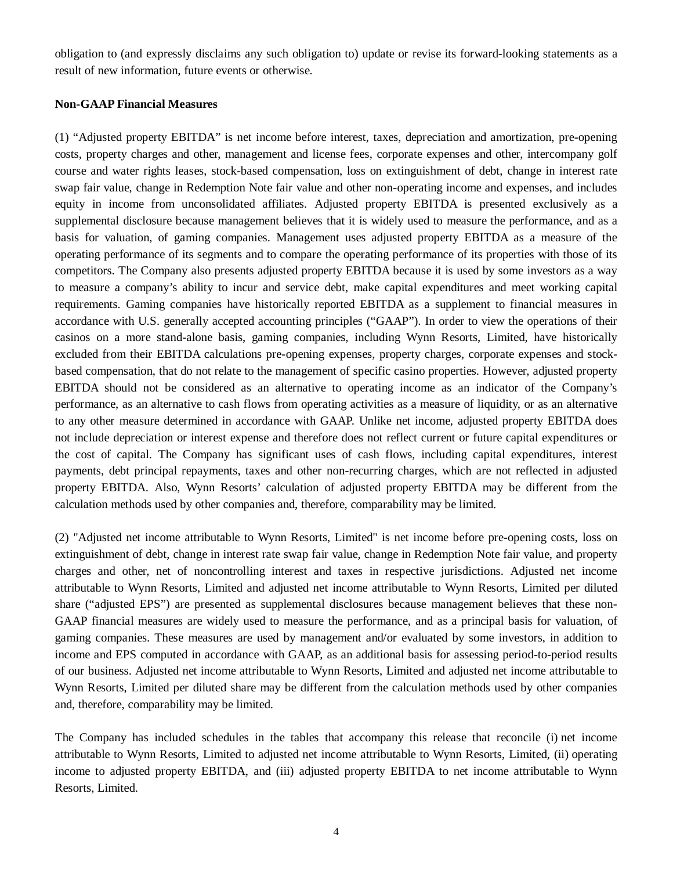obligation to (and expressly disclaims any such obligation to) update or revise its forward-looking statements as a result of new information, future events or otherwise.

#### **Non-GAAP Financial Measures**

(1) "Adjusted property EBITDA" is net income before interest, taxes, depreciation and amortization, pre-opening costs, property charges and other, management and license fees, corporate expenses and other, intercompany golf course and water rights leases, stock-based compensation, loss on extinguishment of debt, change in interest rate swap fair value, change in Redemption Note fair value and other non-operating income and expenses, and includes equity in income from unconsolidated affiliates. Adjusted property EBITDA is presented exclusively as a supplemental disclosure because management believes that it is widely used to measure the performance, and as a basis for valuation, of gaming companies. Management uses adjusted property EBITDA as a measure of the operating performance of its segments and to compare the operating performance of its properties with those of its competitors. The Company also presents adjusted property EBITDA because it is used by some investors as a way to measure a company's ability to incur and service debt, make capital expenditures and meet working capital requirements. Gaming companies have historically reported EBITDA as a supplement to financial measures in accordance with U.S. generally accepted accounting principles ("GAAP"). In order to view the operations of their casinos on a more stand-alone basis, gaming companies, including Wynn Resorts, Limited, have historically excluded from their EBITDA calculations pre-opening expenses, property charges, corporate expenses and stockbased compensation, that do not relate to the management of specific casino properties. However, adjusted property EBITDA should not be considered as an alternative to operating income as an indicator of the Company's performance, as an alternative to cash flows from operating activities as a measure of liquidity, or as an alternative to any other measure determined in accordance with GAAP. Unlike net income, adjusted property EBITDA does not include depreciation or interest expense and therefore does not reflect current or future capital expenditures or the cost of capital. The Company has significant uses of cash flows, including capital expenditures, interest payments, debt principal repayments, taxes and other non-recurring charges, which are not reflected in adjusted property EBITDA. Also, Wynn Resorts' calculation of adjusted property EBITDA may be different from the calculation methods used by other companies and, therefore, comparability may be limited.

(2) "Adjusted net income attributable to Wynn Resorts, Limited" is net income before pre-opening costs, loss on extinguishment of debt, change in interest rate swap fair value, change in Redemption Note fair value, and property charges and other, net of noncontrolling interest and taxes in respective jurisdictions. Adjusted net income attributable to Wynn Resorts, Limited and adjusted net income attributable to Wynn Resorts, Limited per diluted share ("adjusted EPS") are presented as supplemental disclosures because management believes that these non-GAAP financial measures are widely used to measure the performance, and as a principal basis for valuation, of gaming companies. These measures are used by management and/or evaluated by some investors, in addition to income and EPS computed in accordance with GAAP, as an additional basis for assessing period-to-period results of our business. Adjusted net income attributable to Wynn Resorts, Limited and adjusted net income attributable to Wynn Resorts, Limited per diluted share may be different from the calculation methods used by other companies and, therefore, comparability may be limited.

The Company has included schedules in the tables that accompany this release that reconcile (i) net income attributable to Wynn Resorts, Limited to adjusted net income attributable to Wynn Resorts, Limited, (ii) operating income to adjusted property EBITDA, and (iii) adjusted property EBITDA to net income attributable to Wynn Resorts, Limited.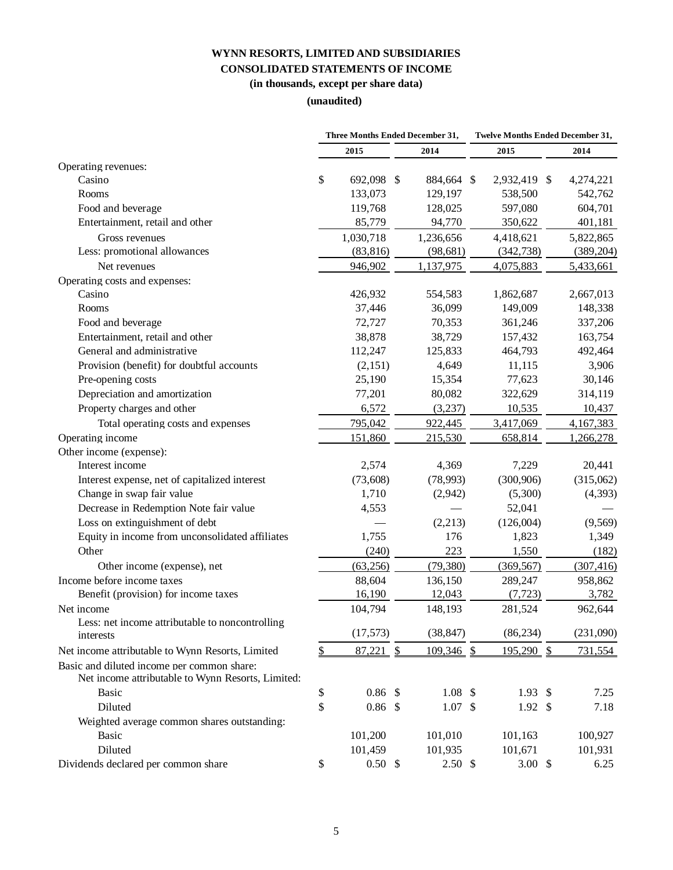# **WYNN RESORTS, LIMITED AND SUBSIDIARIES CONSOLIDATED STATEMENTS OF INCOME**

# **(in thousands, except per share data)**

# **(unaudited)**

|                                                                                                 | Three Months Ended December 31, |                    |               | <b>Twelve Months Ended December 31,</b> |                                |  |              |
|-------------------------------------------------------------------------------------------------|---------------------------------|--------------------|---------------|-----------------------------------------|--------------------------------|--|--------------|
|                                                                                                 |                                 | 2015               |               | 2014                                    | 2015                           |  | 2014         |
| Operating revenues:                                                                             |                                 |                    |               |                                         |                                |  |              |
| Casino                                                                                          | \$                              | 692,098 \$         |               | 884,664 \$                              | 2,932,419 \$                   |  | 4,274,221    |
| Rooms                                                                                           |                                 | 133,073            |               | 129,197                                 | 538,500                        |  | 542,762      |
| Food and beverage                                                                               |                                 | 119,768            |               | 128,025                                 | 597,080                        |  | 604,701      |
| Entertainment, retail and other                                                                 |                                 | 85,779             |               | 94,770                                  | 350,622                        |  | 401,181      |
| Gross revenues                                                                                  |                                 | 1,030,718          |               | 1,236,656                               | 4,418,621                      |  | 5,822,865    |
| Less: promotional allowances                                                                    |                                 | (83, 816)          |               | (98, 681)                               | (342, 738)                     |  | (389, 204)   |
| Net revenues                                                                                    |                                 | 946,902            |               | 1,137,975                               | 4,075,883                      |  | 5,433,661    |
| Operating costs and expenses:                                                                   |                                 |                    |               |                                         |                                |  |              |
| Casino                                                                                          |                                 | 426,932            |               | 554,583                                 | 1,862,687                      |  | 2,667,013    |
| Rooms                                                                                           |                                 | 37,446             |               | 36,099                                  | 149,009                        |  | 148,338      |
| Food and beverage                                                                               |                                 | 72,727             |               | 70,353                                  | 361,246                        |  | 337,206      |
| Entertainment, retail and other                                                                 |                                 | 38,878             |               | 38,729                                  | 157,432                        |  | 163,754      |
| General and administrative                                                                      |                                 | 112,247            |               | 125,833                                 | 464,793                        |  | 492,464      |
| Provision (benefit) for doubtful accounts                                                       |                                 | (2, 151)           |               | 4,649                                   | 11,115                         |  | 3,906        |
| Pre-opening costs                                                                               |                                 | 25,190             |               | 15,354                                  | 77,623                         |  | 30,146       |
| Depreciation and amortization                                                                   |                                 | 77,201             |               | 80,082                                  | 322,629                        |  | 314,119      |
| Property charges and other                                                                      |                                 | 6,572              |               | (3,237)                                 | 10,535                         |  | 10,437       |
| Total operating costs and expenses                                                              |                                 | 795,042            |               | 922,445                                 | 3,417,069                      |  | 4,167,383    |
| Operating income                                                                                |                                 | 151,860            |               | 215,530                                 | 658,814                        |  | 1,266,278    |
| Other income (expense):                                                                         |                                 |                    |               |                                         |                                |  |              |
| Interest income                                                                                 |                                 | 2,574              |               | 4,369                                   | 7,229                          |  | 20,441       |
| Interest expense, net of capitalized interest                                                   |                                 | (73,608)           |               | (78,993)                                | (300, 906)                     |  | (315,062)    |
| Change in swap fair value                                                                       |                                 | 1,710              |               | (2,942)                                 | (5,300)                        |  | (4, 393)     |
| Decrease in Redemption Note fair value                                                          |                                 | 4,553              |               |                                         | 52,041                         |  |              |
| Loss on extinguishment of debt                                                                  |                                 |                    |               | (2,213)                                 | (126,004)                      |  | (9, 569)     |
| Equity in income from unconsolidated affiliates                                                 |                                 | 1,755              |               | 176                                     | 1,823                          |  | 1,349        |
| Other                                                                                           |                                 | (240)              |               | 223                                     | 1,550                          |  | (182)        |
| Other income (expense), net                                                                     |                                 | (63, 256)          |               | (79, 380)                               | (369, 567)                     |  | (307, 416)   |
| Income before income taxes                                                                      |                                 | 88,604             |               | 136,150                                 | 289,247                        |  | 958,862      |
| Benefit (provision) for income taxes                                                            |                                 | 16,190             |               | 12,043                                  | (7, 723)                       |  | 3,782        |
| Net income                                                                                      |                                 | 104,794            |               | 148,193                                 | 281,524                        |  | 962,644      |
| т.<br>Less: net income attributable to noncontrolling                                           |                                 |                    |               |                                         |                                |  |              |
| interests                                                                                       |                                 | (17,573)           |               | (38, 847)                               | (86, 234)                      |  | (231,090)    |
| Net income attributable to Wynn Resorts, Limited                                                | $\mathcal{S}$                   | $87,221$ \$        |               | $109,346$ \$                            | $195,290$ \$                   |  | 731,554      |
| Basic and diluted income per common share:<br>Net income attributable to Wynn Resorts, Limited: |                                 |                    |               |                                         |                                |  |              |
|                                                                                                 |                                 |                    | $\mathcal{S}$ | $1.08$ \$                               |                                |  |              |
| <b>Basic</b><br>Diluted                                                                         | \$<br>\$                        | 0.86<br>$0.86$ \$  |               | $1.07 \text{ }$ \$                      | $1.93 \text{ } $$<br>$1.92$ \$ |  | 7.25<br>7.18 |
|                                                                                                 |                                 |                    |               |                                         |                                |  |              |
| Weighted average common shares outstanding:                                                     |                                 |                    |               |                                         |                                |  |              |
| <b>Basic</b>                                                                                    |                                 | 101,200<br>101,459 |               | 101,010<br>101,935                      | 101,163                        |  | 100,927      |
| Diluted                                                                                         |                                 |                    |               |                                         | 101,671                        |  | 101,931      |
| Dividends declared per common share                                                             | \$                              | 0.50 <sup>°</sup>  |               | 2.50 <sup>°</sup>                       | 3.00 $$$                       |  | 6.25         |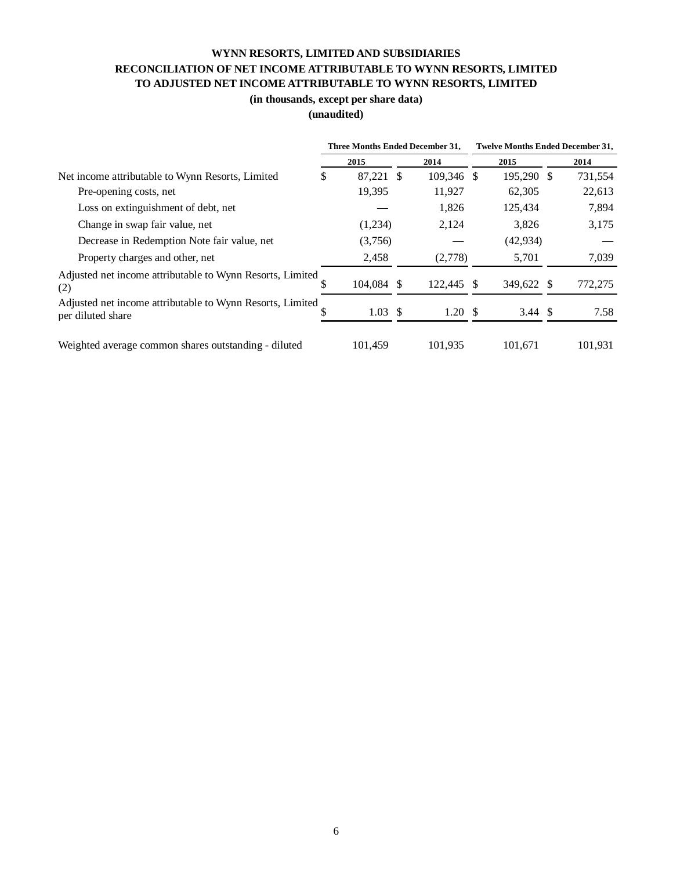# **WYNN RESORTS, LIMITED AND SUBSIDIARIES RECONCILIATION OF NET INCOME ATTRIBUTABLE TO WYNN RESORTS, LIMITED TO ADJUSTED NET INCOME ATTRIBUTABLE TO WYNN RESORTS, LIMITED**

#### **(in thousands, except per share data)**

**(unaudited)**

|                                                                                | Three Months Ended December 31, |                    |      |                    | <b>Twelve Months Ended December 31,</b> |                 |  |         |  |
|--------------------------------------------------------------------------------|---------------------------------|--------------------|------|--------------------|-----------------------------------------|-----------------|--|---------|--|
|                                                                                |                                 | 2015               |      | 2014               |                                         | 2015            |  | 2014    |  |
| Net income attributable to Wynn Resorts, Limited                               | \$                              | 87,221             | - \$ | 109,346 \$         |                                         | 195,290 \$      |  | 731,554 |  |
| Pre-opening costs, net                                                         |                                 | 19,395             |      | 11,927             |                                         | 62,305          |  | 22,613  |  |
| Loss on extinguishment of debt, net                                            |                                 |                    |      | 1,826              |                                         | 125,434         |  | 7,894   |  |
| Change in swap fair value, net                                                 |                                 | (1,234)            |      | 2,124              |                                         | 3,826           |  | 3,175   |  |
| Decrease in Redemption Note fair value, net                                    |                                 | (3,756)            |      |                    |                                         | (42, 934)       |  |         |  |
| Property charges and other, net                                                |                                 | 2,458              |      | (2,778)            |                                         | 5,701           |  | 7,039   |  |
| Adjusted net income attributable to Wynn Resorts, Limited<br>(2)               |                                 | 104,084 \$         |      | 122,445 \$         |                                         | 349,622 \$      |  | 772,275 |  |
| Adjusted net income attributable to Wynn Resorts, Limited<br>per diluted share |                                 | $1.03 \text{ }$ \$ |      | $1.20 \text{ }$ \$ |                                         | 3.44 $\sqrt{s}$ |  | 7.58    |  |
| Weighted average common shares outstanding - diluted                           |                                 | 101.459            |      | 101.935            |                                         | 101.671         |  | 101,931 |  |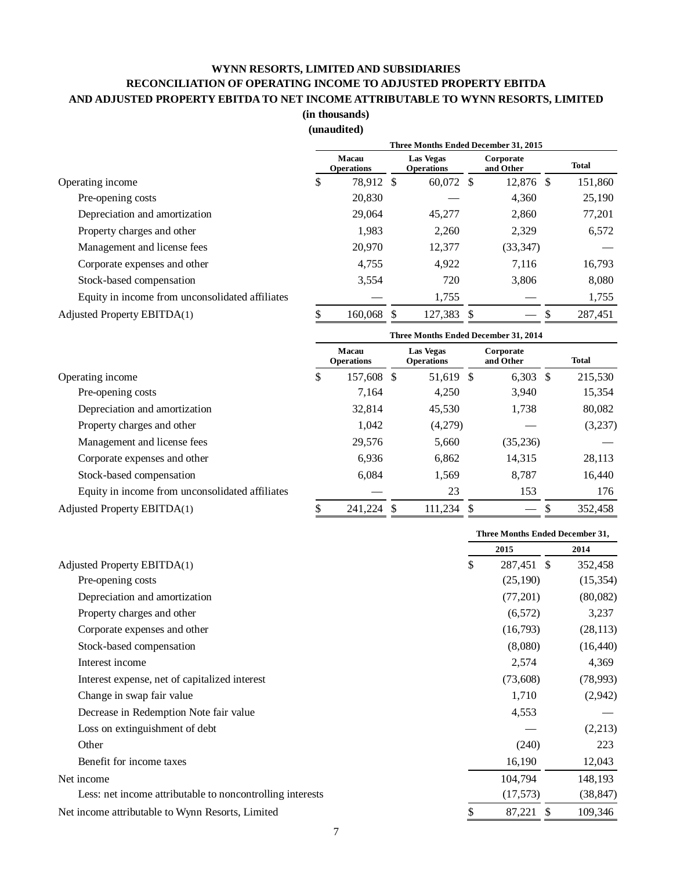# **WYNN RESORTS, LIMITED AND SUBSIDIARIES RECONCILIATION OF OPERATING INCOME TO ADJUSTED PROPERTY EBITDA AND ADJUSTED PROPERTY EBITDA TO NET INCOME ATTRIBUTABLE TO WYNN RESORTS, LIMITED**

# **(in thousands)**

#### **(unaudited)**

|                                                 | Three Months Ended December 31, 2015 |                            |  |                                       |    |                        |  |              |  |
|-------------------------------------------------|--------------------------------------|----------------------------|--|---------------------------------------|----|------------------------|--|--------------|--|
|                                                 |                                      | Macau<br><b>Operations</b> |  | <b>Las Vegas</b><br><b>Operations</b> |    | Corporate<br>and Other |  | <b>Total</b> |  |
| Operating income                                | \$                                   | 78,912 \$                  |  | 60,072 \$                             |    | 12,876 \$              |  | 151,860      |  |
| Pre-opening costs                               |                                      | 20,830                     |  |                                       |    | 4,360                  |  | 25,190       |  |
| Depreciation and amortization                   |                                      | 29,064                     |  | 45,277                                |    | 2,860                  |  | 77,201       |  |
| Property charges and other                      |                                      | 1,983                      |  | 2,260                                 |    | 2,329                  |  | 6,572        |  |
| Management and license fees                     |                                      | 20,970                     |  | 12,377                                |    | (33, 347)              |  |              |  |
| Corporate expenses and other                    |                                      | 4,755                      |  | 4,922                                 |    | 7.116                  |  | 16,793       |  |
| Stock-based compensation                        |                                      | 3,554                      |  | 720                                   |    | 3,806                  |  | 8,080        |  |
| Equity in income from unconsolidated affiliates |                                      |                            |  | 1,755                                 |    |                        |  | 1,755        |  |
| Adjusted Property EBITDA(1)                     | \$                                   | 160.068 \$                 |  | 127,383                               | -S |                        |  | 287,451      |  |

|                                                 | Three Months Ended December 31, 2014 |                                   |  |                                |   |                        |  |              |  |  |
|-------------------------------------------------|--------------------------------------|-----------------------------------|--|--------------------------------|---|------------------------|--|--------------|--|--|
|                                                 |                                      | <b>Macau</b><br><b>Operations</b> |  | Las Vegas<br><b>Operations</b> |   | Corporate<br>and Other |  | <b>Total</b> |  |  |
| Operating income                                | \$                                   | 157,608 \$                        |  | 51,619 \$                      |   | $6,303$ \$             |  | 215,530      |  |  |
| Pre-opening costs                               |                                      | 7,164                             |  | 4,250                          |   | 3,940                  |  | 15,354       |  |  |
| Depreciation and amortization                   |                                      | 32,814                            |  | 45,530                         |   | 1,738                  |  | 80,082       |  |  |
| Property charges and other                      |                                      | 1,042                             |  | (4,279)                        |   |                        |  | (3,237)      |  |  |
| Management and license fees                     |                                      | 29,576                            |  | 5,660                          |   | (35, 236)              |  |              |  |  |
| Corporate expenses and other                    |                                      | 6,936                             |  | 6,862                          |   | 14,315                 |  | 28,113       |  |  |
| Stock-based compensation                        |                                      | 6,084                             |  | 1,569                          |   | 8,787                  |  | 16,440       |  |  |
| Equity in income from unconsolidated affiliates |                                      |                                   |  | 23                             |   | 153                    |  | 176          |  |  |
| Adjusted Property EBITDA(1)                     |                                      | 241.224                           |  | 111,234                        | S |                        |  | 352,458      |  |  |

|                                                           | Three Months Ended December 31, |              |           |  |  |
|-----------------------------------------------------------|---------------------------------|--------------|-----------|--|--|
|                                                           |                                 | 2015         | 2014      |  |  |
| Adjusted Property EBITDA(1)                               | \$                              | 287,451 \$   | 352,458   |  |  |
| Pre-opening costs                                         |                                 | (25,190)     | (15,354)  |  |  |
| Depreciation and amortization                             |                                 | (77,201)     | (80,082)  |  |  |
| Property charges and other                                |                                 | (6,572)      | 3,237     |  |  |
| Corporate expenses and other                              |                                 | (16,793)     | (28, 113) |  |  |
| Stock-based compensation                                  |                                 | (8,080)      | (16, 440) |  |  |
| Interest income                                           |                                 | 2,574        | 4,369     |  |  |
| Interest expense, net of capitalized interest             |                                 | (73,608)     | (78,993)  |  |  |
| Change in swap fair value                                 |                                 | 1,710        | (2,942)   |  |  |
| Decrease in Redemption Note fair value                    |                                 | 4,553        |           |  |  |
| Loss on extinguishment of debt                            |                                 |              | (2,213)   |  |  |
| Other                                                     |                                 | (240)        | 223       |  |  |
| Benefit for income taxes                                  |                                 | 16,190       | 12,043    |  |  |
| Net income                                                |                                 | 104,794      | 148,193   |  |  |
| Less: net income attributable to noncontrolling interests |                                 | (17,573)     | (38, 847) |  |  |
| Net income attributable to Wynn Resorts, Limited          |                                 | 87,221<br>-S | 109,346   |  |  |
|                                                           |                                 |              |           |  |  |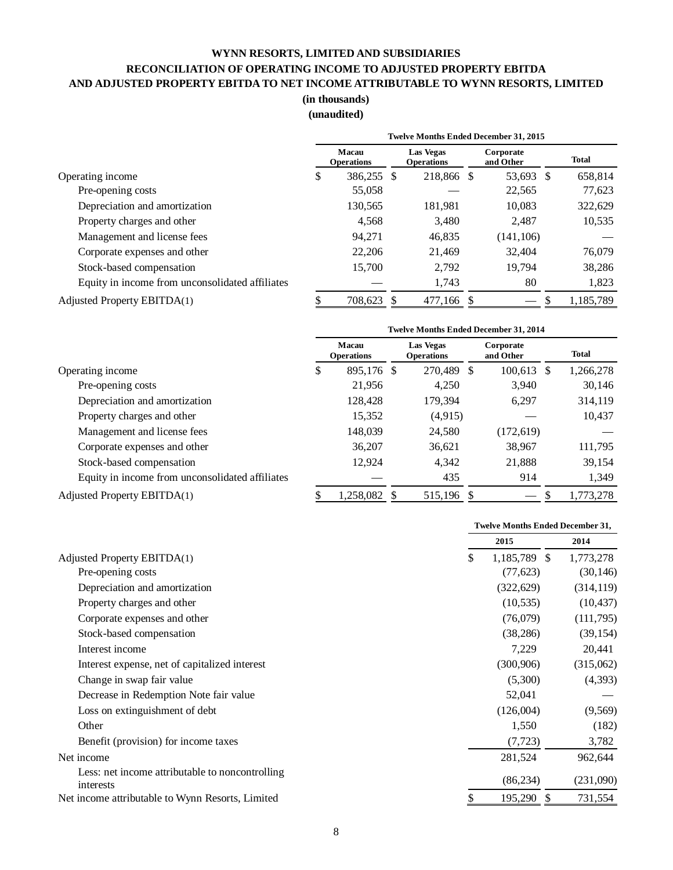# **WYNN RESORTS, LIMITED AND SUBSIDIARIES**

# **RECONCILIATION OF OPERATING INCOME TO ADJUSTED PROPERTY EBITDA**

# **AND ADJUSTED PROPERTY EBITDA TO NET INCOME ATTRIBUTABLE TO WYNN RESORTS, LIMITED**

## **(in thousands) (unaudited)**

|                                                 | <b>Twelve Months Ended December 31, 2015</b> |                                   |  |                                |   |                        |  |              |  |
|-------------------------------------------------|----------------------------------------------|-----------------------------------|--|--------------------------------|---|------------------------|--|--------------|--|
|                                                 |                                              | <b>Macau</b><br><b>Operations</b> |  | Las Vegas<br><b>Operations</b> |   | Corporate<br>and Other |  | <b>Total</b> |  |
| Operating income                                | \$                                           | 386,255 \$                        |  | 218,866 \$                     |   | 53,693 \$              |  | 658,814      |  |
| Pre-opening costs                               |                                              | 55,058                            |  |                                |   | 22,565                 |  | 77,623       |  |
| Depreciation and amortization                   |                                              | 130,565                           |  | 181,981                        |   | 10,083                 |  | 322,629      |  |
| Property charges and other                      |                                              | 4,568                             |  | 3,480                          |   | 2,487                  |  | 10,535       |  |
| Management and license fees                     |                                              | 94,271                            |  | 46,835                         |   | (141, 106)             |  |              |  |
| Corporate expenses and other                    |                                              | 22,206                            |  | 21.469                         |   | 32,404                 |  | 76,079       |  |
| Stock-based compensation                        |                                              | 15,700                            |  | 2,792                          |   | 19.794                 |  | 38,286       |  |
| Equity in income from unconsolidated affiliates |                                              |                                   |  | 1,743                          |   | 80                     |  | 1,823        |  |
| Adjusted Property EBITDA(1)                     |                                              | 708,623                           |  | 477,166                        | Ъ |                        |  | 1,185,789    |  |

|                                                 | <b>Twelve Months Ended December 31, 2014</b> |                            |  |                                |  |                        |   |              |  |
|-------------------------------------------------|----------------------------------------------|----------------------------|--|--------------------------------|--|------------------------|---|--------------|--|
|                                                 |                                              | Macau<br><b>Operations</b> |  | Las Vegas<br><b>Operations</b> |  | Corporate<br>and Other |   | <b>Total</b> |  |
| Operating income                                | \$                                           | 895,176 \$                 |  | 270,489 \$                     |  | 100,613                | S | 1,266,278    |  |
| Pre-opening costs                               |                                              | 21,956                     |  | 4.250                          |  | 3.940                  |   | 30,146       |  |
| Depreciation and amortization                   |                                              | 128.428                    |  | 179.394                        |  | 6,297                  |   | 314,119      |  |
| Property charges and other                      |                                              | 15,352                     |  | (4,915)                        |  |                        |   | 10,437       |  |
| Management and license fees                     |                                              | 148,039                    |  | 24,580                         |  | (172, 619)             |   |              |  |
| Corporate expenses and other                    |                                              | 36,207                     |  | 36.621                         |  | 38.967                 |   | 111,795      |  |
| Stock-based compensation                        |                                              | 12.924                     |  | 4.342                          |  | 21.888                 |   | 39,154       |  |
| Equity in income from unconsolidated affiliates |                                              |                            |  | 435                            |  | 914                    |   | 1,349        |  |
| Adjusted Property EBITDA(1)                     |                                              | 1,258,082                  |  | 515,196 \$                     |  |                        |   | 1,773,278    |  |

|                                                              |     | <b>Twelve Months Ended December 31,</b> |            |  |  |  |
|--------------------------------------------------------------|-----|-----------------------------------------|------------|--|--|--|
|                                                              |     | 2015                                    | 2014       |  |  |  |
| Adjusted Property EBITDA(1)                                  | \$. | 1,185,789 \$                            | 1,773,278  |  |  |  |
| Pre-opening costs                                            |     | (77, 623)                               | (30, 146)  |  |  |  |
| Depreciation and amortization                                |     | (322, 629)                              | (314, 119) |  |  |  |
| Property charges and other                                   |     | (10, 535)                               | (10, 437)  |  |  |  |
| Corporate expenses and other                                 |     | (76,079)                                | (111,795)  |  |  |  |
| Stock-based compensation                                     |     | (38, 286)                               | (39, 154)  |  |  |  |
| Interest income                                              |     | 7,229                                   | 20,441     |  |  |  |
| Interest expense, net of capitalized interest                |     | (300, 906)                              | (315,062)  |  |  |  |
| Change in swap fair value                                    |     | (5,300)                                 | (4,393)    |  |  |  |
| Decrease in Redemption Note fair value                       |     | 52,041                                  |            |  |  |  |
| Loss on extinguishment of debt                               |     | (126,004)                               | (9,569)    |  |  |  |
| Other                                                        |     | 1,550                                   | (182)      |  |  |  |
| Benefit (provision) for income taxes                         |     | (7, 723)                                | 3,782      |  |  |  |
| Net income                                                   |     | 281,524                                 | 962,644    |  |  |  |
| Less: net income attributable to noncontrolling<br>interests |     | (86, 234)                               | (231,090)  |  |  |  |
| Net income attributable to Wynn Resorts, Limited             |     | 195,290 \$                              | 731,554    |  |  |  |
|                                                              |     |                                         |            |  |  |  |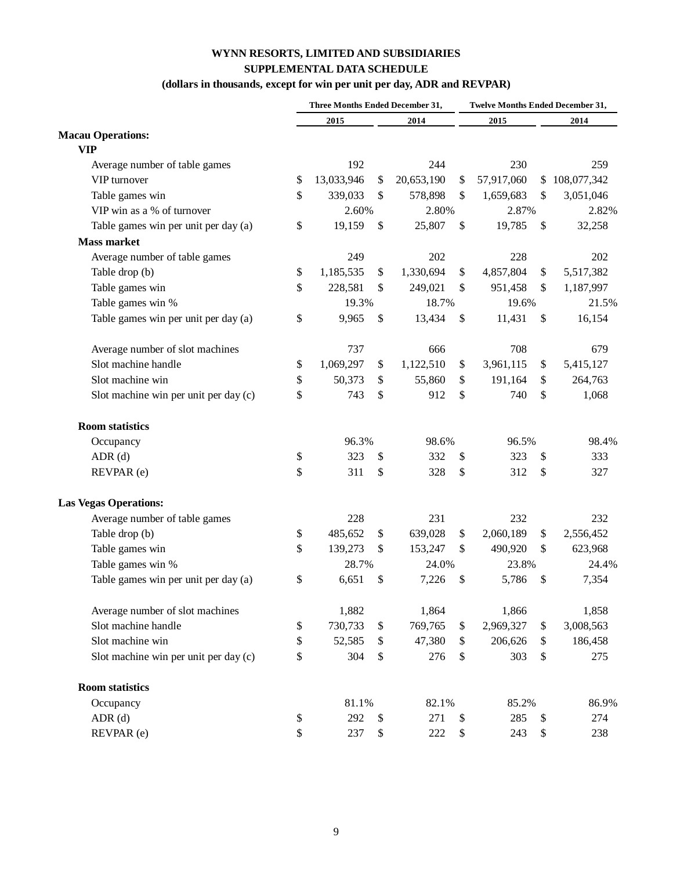# **WYNN RESORTS, LIMITED AND SUBSIDIARIES SUPPLEMENTAL DATA SCHEDULE**

# **(dollars in thousands, except for win per unit per day, ADR and REVPAR)**

|                                       | Three Months Ended December 31, |    | <b>Twelve Months Ended December 31,</b> |                  |              |             |
|---------------------------------------|---------------------------------|----|-----------------------------------------|------------------|--------------|-------------|
|                                       | 2015                            |    | 2014                                    | 2015             |              | 2014        |
| <b>Macau Operations:</b>              |                                 |    |                                         |                  |              |             |
| <b>VIP</b>                            |                                 |    |                                         |                  |              |             |
| Average number of table games         | 192                             |    | 244                                     | 230              |              | 259         |
| VIP turnover                          | \$<br>13,033,946                | \$ | 20,653,190                              | \$<br>57,917,060 | \$           | 108,077,342 |
| Table games win                       | \$<br>339,033                   | \$ | 578,898                                 | \$<br>1,659,683  | \$           | 3,051,046   |
| VIP win as a % of turnover            | 2.60%                           |    | 2.80%                                   | 2.87%            |              | 2.82%       |
| Table games win per unit per day (a)  | \$<br>19,159                    | \$ | 25,807                                  | \$<br>19,785     | \$           | 32,258      |
| <b>Mass market</b>                    |                                 |    |                                         |                  |              |             |
| Average number of table games         | 249                             |    | 202                                     | 228              |              | 202         |
| Table drop (b)                        | \$<br>1,185,535                 | \$ | 1,330,694                               | \$<br>4,857,804  | \$           | 5,517,382   |
| Table games win                       | \$<br>228,581                   | \$ | 249,021                                 | \$<br>951,458    | $\mathbb{S}$ | 1,187,997   |
| Table games win %                     | 19.3%                           |    | 18.7%                                   | 19.6%            |              | 21.5%       |
| Table games win per unit per day (a)  | \$<br>9,965                     | \$ | 13,434                                  | \$<br>11,431     | \$           | 16,154      |
| Average number of slot machines       | 737                             |    | 666                                     | 708              |              | 679         |
| Slot machine handle                   | \$<br>1,069,297                 | \$ | 1,122,510                               | \$<br>3,961,115  | \$           | 5,415,127   |
| Slot machine win                      | \$<br>50,373                    | \$ | 55,860                                  | \$<br>191,164    | \$           | 264,763     |
| Slot machine win per unit per day (c) | \$<br>743                       | \$ | 912                                     | \$<br>740        | \$           | 1,068       |
| <b>Room statistics</b>                |                                 |    |                                         |                  |              |             |
| Occupancy                             | 96.3%                           |    | 98.6%                                   | 96.5%            |              | 98.4%       |
| $ADR$ $(d)$                           | \$<br>323                       | \$ | 332                                     | \$<br>323        | \$           | 333         |
| REVPAR (e)                            | \$<br>311                       | \$ | 328                                     | \$<br>312        | \$           | 327         |
| <b>Las Vegas Operations:</b>          |                                 |    |                                         |                  |              |             |
| Average number of table games         | 228                             |    | 231                                     | 232              |              | 232         |
| Table drop (b)                        | \$<br>485,652                   | \$ | 639,028                                 | \$<br>2,060,189  | \$           | 2,556,452   |
| Table games win                       | \$<br>139,273                   | \$ | 153,247                                 | \$<br>490,920    | \$           | 623,968     |
| Table games win %                     | 28.7%                           |    | 24.0%                                   | 23.8%            |              | 24.4%       |
| Table games win per unit per day (a)  | \$<br>6,651                     | \$ | 7,226                                   | \$<br>5,786      | \$           | 7,354       |
| Average number of slot machines       | 1,882                           |    | 1,864                                   | 1,866            |              | 1,858       |
| Slot machine handle                   | \$<br>730,733                   | \$ | 769,765                                 | \$<br>2,969,327  | \$           | 3,008,563   |
| Slot machine win                      | \$<br>52,585                    | \$ | 47,380                                  | \$<br>206,626    | \$           | 186,458     |
| Slot machine win per unit per day (c) | \$<br>304                       | \$ | 276                                     | \$<br>303        | \$           | 275         |
| <b>Room statistics</b>                |                                 |    |                                         |                  |              |             |
| Occupancy                             | 81.1%                           |    | 82.1%                                   | 85.2%            |              | 86.9%       |
| $ADR$ $(d)$                           | \$<br>292                       | \$ | 271                                     | \$<br>285        | \$           | 274         |
| REVPAR (e)                            | \$<br>237                       | \$ | 222                                     | \$<br>243        | \$           | 238         |